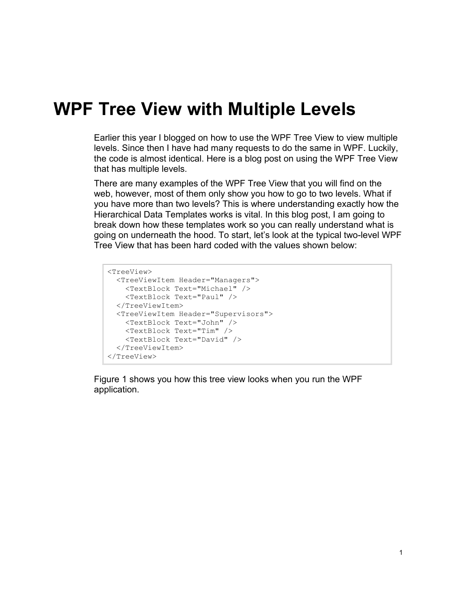## **WPF Tree View with Multiple Levels**

Earlier this year I blogged on how to use the WPF Tree View to view multiple levels. Since then I have had many requests to do the same in WPF. Luckily, the code is almost identical. Here is a blog post on using the WPF Tree View that has multiple levels.

There are many examples of the WPF Tree View that you will find on the web, however, most of them only show you how to go to two levels. What if you have more than two levels? This is where understanding exactly how the Hierarchical Data Templates works is vital. In this blog post, I am going to break down how these templates work so you can really understand what is going on underneath the hood. To start, let's look at the typical two-level WPF Tree View that has been hard coded with the values shown below:

```
<TreeView>
  <TreeViewItem Header="Managers">
    <TextBlock Text="Michael" />
    <TextBlock Text="Paul" />
  </TreeViewItem>
  <TreeViewItem Header="Supervisors">
    <TextBlock Text="John" />
    <TextBlock Text="Tim" />
    <TextBlock Text="David" />
  </TreeViewItem>
</TreeView>
```
[Figure 1](#page-1-0) shows you how this tree view looks when you run the WPF application.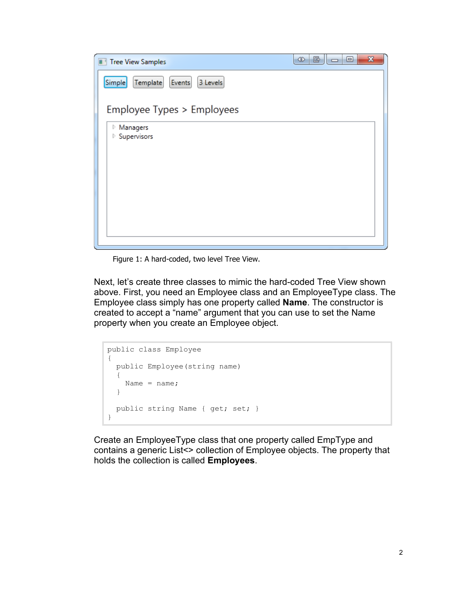

Figure 1: A hard-coded, two level Tree View.

<span id="page-1-0"></span>Next, let's create three classes to mimic the hard-coded Tree View shown above. First, you need an Employee class and an EmployeeType class. The Employee class simply has one property called **Name**. The constructor is created to accept a "name" argument that you can use to set the Name property when you create an Employee object.

```
public class Employee
{
  public Employee(string name)
   {
    Name = name; }
 public string Name { get; set; }
}
```
Create an EmployeeType class that one property called EmpType and contains a generic List<> collection of Employee objects. The property that holds the collection is called **Employees**.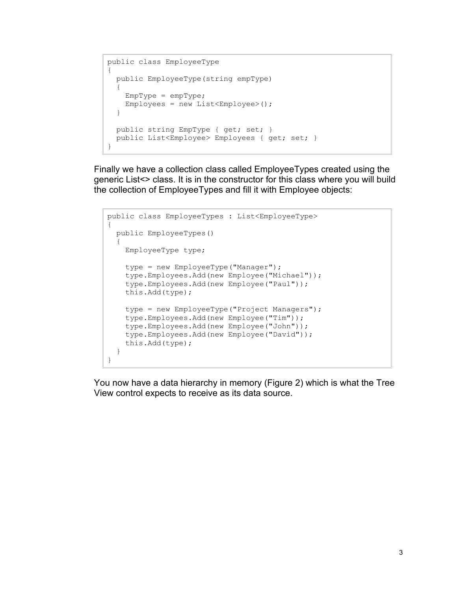```
public class EmployeeType
{
  public EmployeeType(string empType)
\{EmpType = empType;Employees = new List<Employee>();
   }
  public string EmpType { get; set; }
  public List<Employee> Employees { get; set; }
}
```
Finally we have a collection class called EmployeeTypes created using the generic List<> class. It is in the constructor for this class where you will build the collection of EmployeeTypes and fill it with Employee objects:

```
public class EmployeeTypes : List<EmployeeType>
{
  public EmployeeTypes()
   {
    EmployeeType type;
    type = new EmployeeType("Manager");
    type.Employees.Add(new Employee("Michael"));
    type.Employees.Add(new Employee("Paul"));
    this.Add(type);
   type = new EmployeeType ("Project Managers");
    type.Employees.Add(new Employee("Tim"));
    type.Employees.Add(new Employee("John"));
    type.Employees.Add(new Employee("David"));
     this.Add(type);
  }
}
```
You now have a data hierarchy in memory [\(Figure 2\)](#page-3-0) which is what the Tree View control expects to receive as its data source.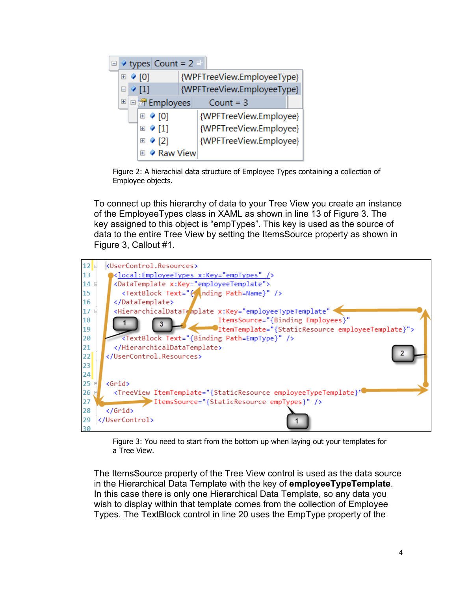|  |                            |                         | $\Box$ $\Diamond$ types Count = 2 |             |                            |
|--|----------------------------|-------------------------|-----------------------------------|-------------|----------------------------|
|  |                            | $\boxplus \bullet$ [0]  |                                   |             | {WPFTreeView.EmployeeType} |
|  |                            | $\boxminus$ $\odot$ [1] |                                   |             | {WPFTreeView.EmployeeType} |
|  | <sup>⊞</sup> □ ■ Employees |                         |                                   | Count = $3$ |                            |
|  |                            |                         | $\boxplus$ $\bullet$ [0]          |             | {WPFTreeView.Employee}     |
|  |                            |                         | $\boxplus$ $\bullet$ [1]          |             | {WPFTreeView.Employee}     |
|  |                            | 田                       | $\bullet$ [2]                     |             | {WPFTreeView.Employee}     |
|  |                            |                         | ⊞ ♦ Raw View                      |             |                            |

Figure 2: A hierachial data structure of Employee Types containing a collection of Employee objects.

<span id="page-3-0"></span>To connect up this hierarchy of data to your Tree View you create an instance of the EmployeeTypes class in XAML as shown in line 13 of [Figure 3.](#page-3-1) The key assigned to this object is "empTypes". This key is used as the source of data to the entire Tree View by setting the ItemsSource property as shown in [Figure 3,](#page-3-1) Callout #1.



Figure 3: You need to start from the bottom up when laying out your templates for a Tree View.

<span id="page-3-1"></span>The ItemsSource property of the Tree View control is used as the data source in the Hierarchical Data Template with the key of **employeeTypeTemplate**. In this case there is only one Hierarchical Data Template, so any data you wish to display within that template comes from the collection of Employee Types. The TextBlock control in line 20 uses the EmpType property of the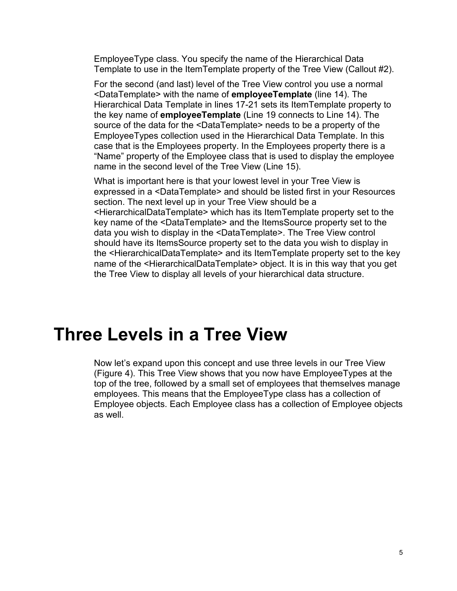EmployeeType class. You specify the name of the Hierarchical Data Template to use in the ItemTemplate property of the Tree View (Callout #2).

For the second (and last) level of the Tree View control you use a normal <DataTemplate> with the name of **employeeTemplate** (line 14). The Hierarchical Data Template in lines 17-21 sets its ItemTemplate property to the key name of **employeeTemplate** (Line 19 connects to Line 14). The source of the data for the <DataTemplate> needs to be a property of the EmployeeTypes collection used in the Hierarchical Data Template. In this case that is the Employees property. In the Employees property there is a "Name" property of the Employee class that is used to display the employee name in the second level of the Tree View (Line 15).

What is important here is that your lowest level in your Tree View is expressed in a <DataTemplate> and should be listed first in your Resources section. The next level up in your Tree View should be a <HierarchicalDataTemplate> which has its ItemTemplate property set to the key name of the <DataTemplate> and the ItemsSource property set to the data you wish to display in the <DataTemplate>. The Tree View control should have its ItemsSource property set to the data you wish to display in the <HierarchicalDataTemplate> and its ItemTemplate property set to the key name of the <HierarchicalDataTemplate> object. It is in this way that you get the Tree View to display all levels of your hierarchical data structure.

## **Three Levels in a Tree View**

Now let's expand upon this concept and use three levels in our Tree View [\(Figure 4\)](#page-5-0). This Tree View shows that you now have EmployeeTypes at the top of the tree, followed by a small set of employees that themselves manage employees. This means that the EmployeeType class has a collection of Employee objects. Each Employee class has a collection of Employee objects as well.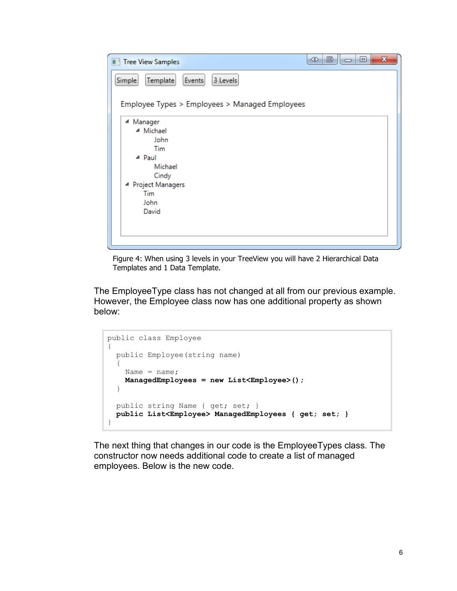

Figure 4: When using 3 levels in your TreeView you will have 2 Hierarchical Data Templates and 1 Data Template.

<span id="page-5-0"></span>The EmployeeType class has not changed at all from our previous example. However, the Employee class now has one additional property as shown below:

```
public class Employee
{
  public Employee(string name)
   {
   Name = name; ManagedEmployees = new List<Employee>();
   }
  public string Name { get; set; }
  public List<Employee> ManagedEmployees { get; set; }
}
```
The next thing that changes in our code is the EmployeeTypes class. The constructor now needs additional code to create a list of managed employees. Below is the new code.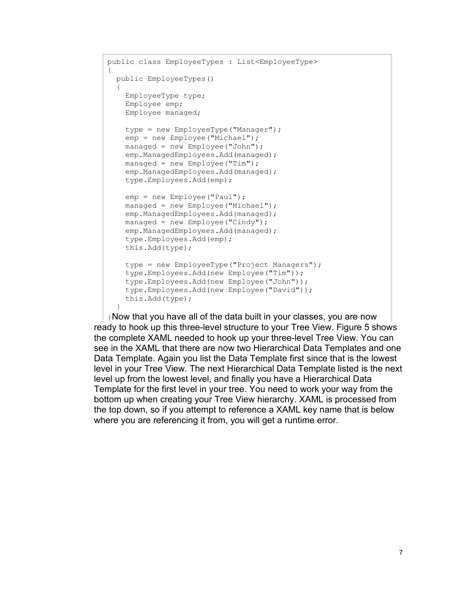```
public class EmployeeTypes : List<EmployeeType>
{
  public EmployeeTypes()
\{ EmployeeType type;
     Employee emp;
     Employee managed;
     type = new EmployeeType("Manager");
    emp = new Employee("Michael");
    managed = new Employee("John");
    emp.ManagedEmployees.Add(managed);
    managed = new Employee("Tim");
    emp.ManagedEmployees.Add(managed);
     type.Employees.Add(emp);
     emp = new Employee("Paul");
    managed = new Employee("Michael");
    emp.ManagedEmployees.Add(managed);
    managed = new Employee("Cindy");
    emp.ManagedEmployees.Add(managed);
     type.Employees.Add(emp);
     this.Add(type);
    type = new EmployeeType ("Project Managers");
     type.Employees.Add(new Employee("Tim"));
     type.Employees.Add(new Employee("John"));
     type.Employees.Add(new Employee("David"));
     this.Add(type);
   }
```
 $\beta$ Now that you have all of the data built in your classes, you are now ready to hook up this three-level structure to your Tree View. [Figure 5](#page-7-0) shows the complete XAML needed to hook up your three-level Tree View. You can see in the XAML that there are now two Hierarchical Data Templates and one Data Template. Again you list the Data Template first since that is the lowest level in your Tree View. The next Hierarchical Data Template listed is the next level up from the lowest level, and finally you have a Hierarchical Data Template for the first level in your tree. You need to work your way from the bottom up when creating your Tree View hierarchy. XAML is processed from the top down, so if you attempt to reference a XAML key name that is below where you are referencing it from, you will get a runtime error.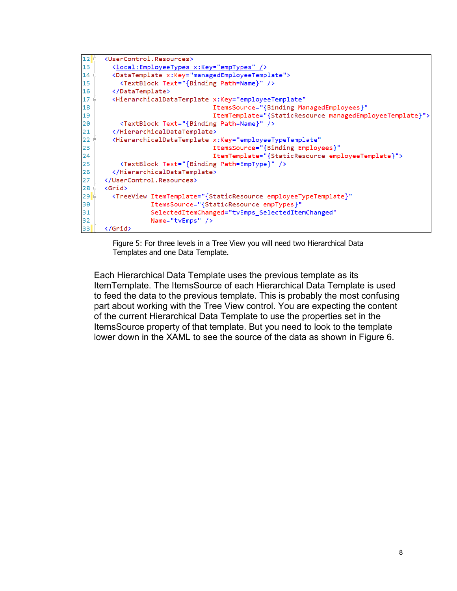```
12<UserControl.Resources>
13<local:EmployeeTypes x:Key="empTypes" />
        <DataTemplate x:Key="managedEmployeeTemplate">
14 \div15
          <TextBlock Text="{Binding Path=Name}" />
16
        </DataTemplate>
17
        <HierarchicalDataTemplate x:Key="employeeTemplate"
                                   ItemsSource="{Binding ManagedEmployees}"
18
19
                                   ItemTemplate="{StaticResource managedEmployeeTemplate}">
20
          <TextBlock Text="{Binding Path=Name}" />
21
        </HierarchicalDataTemplate>
22 \div<HierarchicalDataTemplate x:Key="employeeTypeTemplate"
23
                                   ItemsSource="{Binding Employees}"
24
                                   ItemTemplate="{StaticResource employeeTemplate}">
25
          <TextBlock Text="{Binding Path=EmpType}" />
26
        </HierarchicalDataTemplate>
27
      </UserControl.Resources>
28 \div\sqrt{G}rid\sqrt{S}29<TreeView ItemTemplate="{StaticResource employeeTypeTemplate}"
30
                  ItemsSource="{StaticResource empTypes}"
31SelectedItemChanged="tvEmps_SelectedItemChanged"
32
                  Name="tvEmps" />
33\langle/Grid\rangle
```
Figure 5: For three levels in a Tree View you will need two Hierarchical Data Templates and one Data Template.

<span id="page-7-0"></span>Each Hierarchical Data Template uses the previous template as its ItemTemplate. The ItemsSource of each Hierarchical Data Template is used to feed the data to the previous template. This is probably the most confusing part about working with the Tree View control. You are expecting the content of the current Hierarchical Data Template to use the properties set in the ItemsSource property of that template. But you need to look to the template lower down in the XAML to see the source of the data as shown in [Figure 6.](#page-8-0)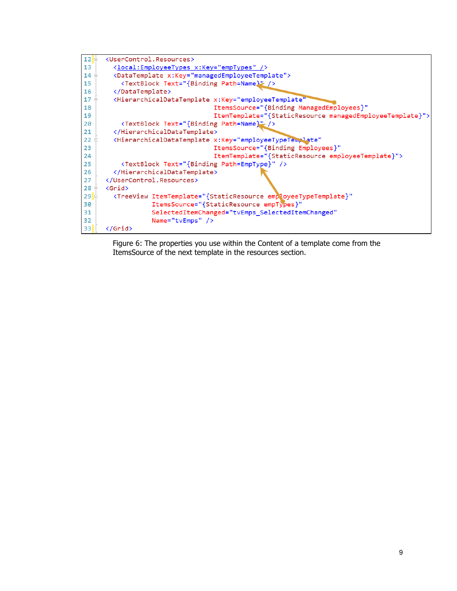```
12<UserControl.Resources>
13<<u>local:EmployeeTypes x:Key="empTypes" /</u>>
14 \div<DataTemplate x:Key="managedEmployeeTemplate">
15
          <TextBlock Text="{Binding Path=Name}" />
16
        </DataTemplate>
17 \div<HierarchicalDataTemplate x:Key="employeeTemplate"
                                   ItemsSource="{Binding ManagedEmployees}"
18
19
                                   ItemTemplate="{StaticResource managedEmployeeTemplate}">
20
          <TextBlock Text="{Binding Path=Name}"/>
21
        </HierarchicalDataTemplate>
22 =<HierarchicalDataTemplate x:Key="employeeTypeTemplate"
                                   ItemsSource="{Binding Employees}"
23
                                   ItemTemplate="{StaticResource employeeTemplate}">
24
25
          <TextBlock Text="{Binding Path=EmpType}" />
26
        </HierarchicalDataTemplate>
27
      </UserControl.Resources>
28 \oplus\langleGrid\rangle29 =
        <TreeView ItemTemplate="{StaticResource employeeTypeTemplate}"
                  ItemsSource="{StaticResource empTypes}"
3031SelectedItemChanged="tvEmps_SelectedItemChanged"
                  Name="tvEmps" /3233\langle/Grid\rangle
```
<span id="page-8-0"></span>Figure 6: The properties you use within the Content of a template come from the ItemsSource of the next template in the resources section.